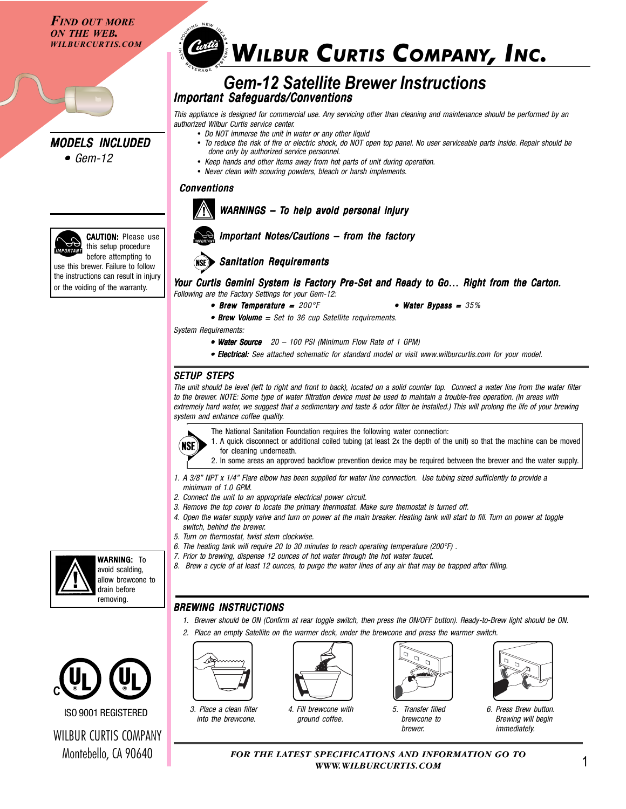*FIND OUT MORE ON THE WEB.*



*• Gem-12 •*



this setup procedure before attempting to use this brewer. Failure to follow the instructions can result in injury or the voiding of the warranty.

# **WILBUR CURTIS COMPANY, INC.**

### *Gem-12 Satellite Brewer Instructions Important Safeguards/Conventions*

*This appliance is designed for commercial use. Any servicing other than cleaning and maintenance should be performed by an authorized Wilbur Curtis service center.*

- *Do NOT immerse the unit in water or any other liquid*
- *To reduce the risk of fire or electric shock, do NOT open top panel. No user serviceable parts inside. Repair should be done only by authorized service personnel.*
- *Keep hands and other items away from hot parts of unit during operation.*
- *Never clean with scouring powders, bleach or harsh implements.*

#### *Conventions*



### **WARNINGS - To help avoid personal injury**



# *Important Notes/Cautions – from the factory*



#### *Your Curtis Gemini System is Factory Pre-Set and Ready to Go… Right from the Carton. y to Right the Carton. Following are the Factory Settings for your Gem-12:*

*• Brew Temperature = 200°F ture = • Water Bypass = • Water Bypass = 35%*

• Brew Volume = Set to 36 cup Satellite requirements.

*System Requirements:*

- *Water Source 20 • Water Source 100 PSI (Minimum Flow Rate of 1 GPM)*
- *Electrical: Electrical: See attached schematic for standard model or visit www.wilburcurtis.com for your model.*

### *SETUP STEPS*

(NSE)

*The unit should be level (left to right and front to back), located on a solid counter top. Connect a water line from the water filter to the brewer. NOTE: Some type of water filtration device must be used to maintain a trouble-free operation. (In areas with extremely hard water, we suggest that a sedimentary and taste & odor filter be installed.) This will prolong the life of your brewing system and enhance coffee quality.*

- The National Sanitation Foundation requires the following water connection:
	- 1. A quick disconnect or additional coiled tubing (at least 2x the depth of the unit) so that the machine can be moved for cleaning underneath.
	- 2. In some areas an approved backflow prevention device may be required between the brewer and the water supply.
- *1. A 3/8" NPT x 1/4" Flare elbow has been supplied for water line connection. Use tubing sized sufficiently to provide a minimum of 1.0 GPM.*
- *2. Connect the unit to an appropriate electrical power circuit.*
- *3. Remove the top cover to locate the primary thermostat. Make sure themostat is turned off.*
- *4. Open the water supply valve and turn on power at the main breaker. Heating tank will start to fill. Turn on power at toggle switch, behind the brewer.*
- *5. Turn on thermostat, twist stem clockwise.*
- *6. The heating tank will require 20 to 30 minutes to reach operating temperature (200°F) .*
- *7. Prior to brewing, dispense 12 ounces of hot water through the hot water faucet.*
- *8. Brew a cycle of at least 12 ounces, to purge the water lines of any air that may be trapped after filling.*

### *BREWING INSTRUCTIONS*

- *1. Brewer should be ON (Confirm at rear toggle switch, then press the ON/OFF button). Ready-to-Brew light should be ON.*
- *2. Place an empty Satellite on the warmer deck, under the brewcone and press the warmer switch.*



*3. Place a clean filter into the brewcone.*



*4. Fill brewcone with ground coffee.*



*5. Transfer filled brewcone to brewer.*



*6. Press Brew button. Brewing will begin immediately.*

1 *FOR THE LATEST SPECIFICATIONS AND INFORMATION GO TO WWW.WILBURCURTIS.COM*



**WARNING: To** avoid scalding, allow brewcone to drain before removing.



ISO 9001 REGISTERED

WILBUR CURTIS COMPANY Montebello, CA 90640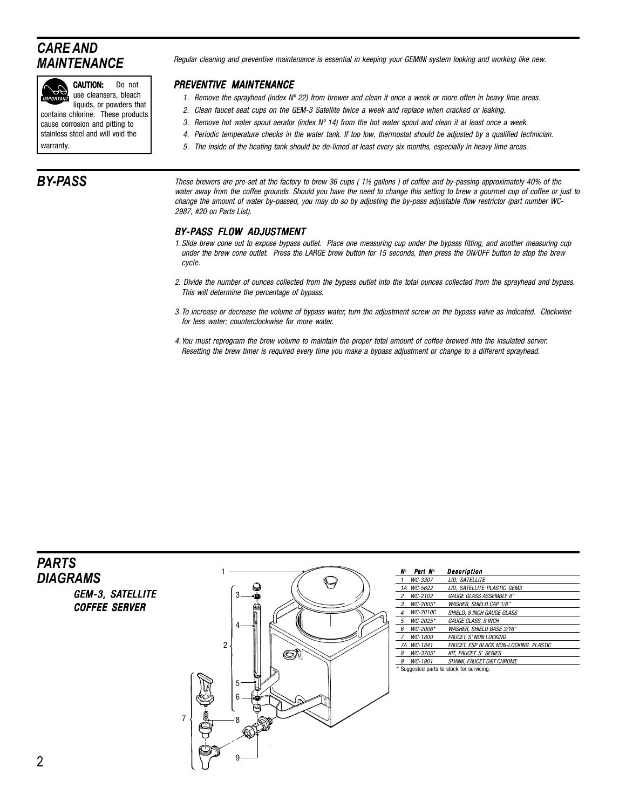# *CARE AND MAINTENANCE*



CAUTION: Do not use cleansers, bleach

liquids, or powders that contains chlorine. These products

cause corrosion and pitting to stainless steel and will void the warranty.

## *BY-PASS*

*Regular cleaning and preventive maintenance is essential in keeping your GEMINI system looking and working like new.*

#### *PREVENTIVE MAINTENANCE*

- *1. Remove the sprayhead (index Nº 22) from brewer and clean it once a week or more often in heavy lime areas.*
- *2. Clean faucet seat cups on the GEM-3 Satellite twice a week and replace when cracked or leaking.*
- *3. Remove hot water spout aerator (index Nº 14) from the hot water spout and clean it at least once a week.*
- *4. Periodic temperature checks in the water tank. If too low, thermostat should be adjusted by a qualified technician.*
- *5. The inside of the heating tank should be de-limed at least every six months, especially in heavy lime areas.*

*These brewers are pre-set at the factory to brew 36 cups ( 1½ gallons ) of coffee and by-passing approximately 40% of the water away from the coffee grounds. Should you have the need to change this setting to brew a gourmet cup of coffee or just to change the amount of water by-passed, you may do so by adjusting the by-pass adjustable flow restrictor (part number WC-2987, #20 on Parts List).*

#### *BY-PASS FLOW ADJUSTMENT*

- *1.Slide brew cone out to expose bypass outlet. Place one measuring cup under the bypass fitting, and another measuring cup under the brew cone outlet. Press the LARGE brew button for 15 seconds, then press the ON/OFF button to stop the brew cycle.*
- *2. Divide the number of ounces collected from the bypass outlet into the total ounces collected from the sprayhead and bypass. This will determine the percentage of bypass.*
- *3.To increase or decrease the volume of bypass water, turn the adjustment screw on the bypass valve as indicated. Clockwise for less water; counterclockwise for more water.*
- *4.You must reprogram the brew volume to maintain the proper total amount of coffee brewed into the insulated server. Resetting the brew timer is required every time you make a bypass adjustment or change to a different sprayhead.*

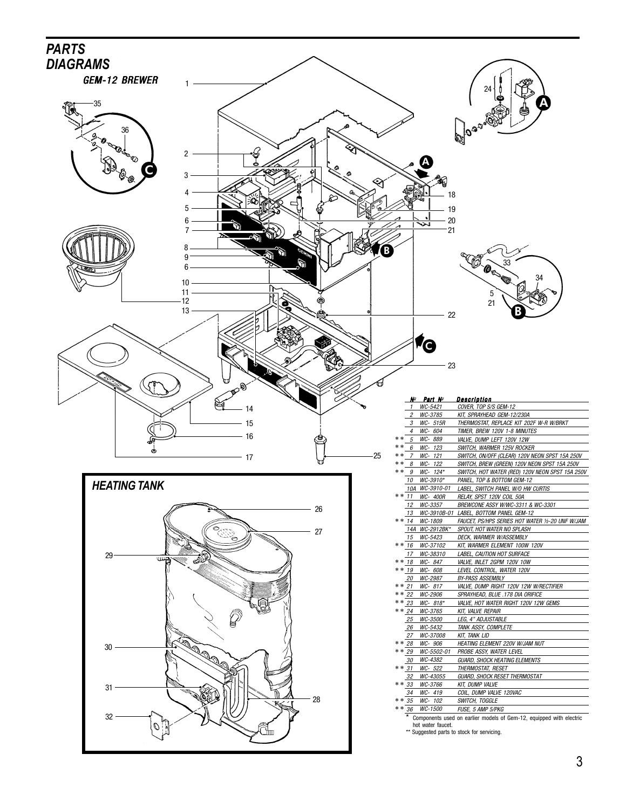